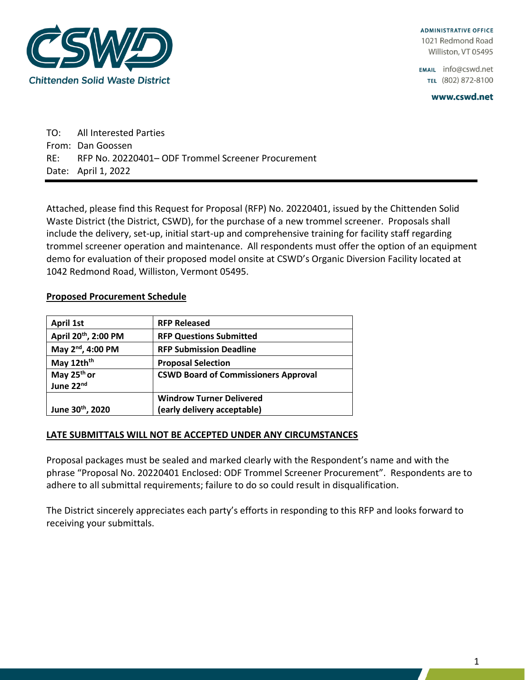

**ADMINISTRATIVE OFFICE** 1021 Redmond Road Williston, VT 05495

EMAIL info@cswd.net TEL (802) 872-8100

www.cswd.net

TO: All Interested Parties From: Dan Goossen RE: RFP No. 20220401– ODF Trommel Screener Procurement Date: April 1, 2022

Attached, please find this Request for Proposal (RFP) No. 20220401, issued by the Chittenden Solid Waste District (the District, CSWD), for the purchase of a new trommel screener. Proposals shall include the delivery, set-up, initial start-up and comprehensive training for facility staff regarding trommel screener operation and maintenance. All respondents must offer the option of an equipment demo for evaluation of their proposed model onsite at CSWD's Organic Diversion Facility located at 1042 Redmond Road, Williston, Vermont 05495.

### **Proposed Procurement Schedule**

| April 1st                            | <b>RFP Released</b>                         |
|--------------------------------------|---------------------------------------------|
| April 20 <sup>th</sup> , 2:00 PM     | <b>RFP Questions Submitted</b>              |
| May 2 <sup>nd</sup> , 4:00 PM        | <b>RFP Submission Deadline</b>              |
| May 12th <sup>th</sup>               | <b>Proposal Selection</b>                   |
| May 25 <sup>th</sup> or<br>June 22nd | <b>CSWD Board of Commissioners Approval</b> |
|                                      | <b>Windrow Turner Delivered</b>             |
| June 30th, 2020                      | (early delivery acceptable)                 |

### **LATE SUBMITTALS WILL NOT BE ACCEPTED UNDER ANY CIRCUMSTANCES**

Proposal packages must be sealed and marked clearly with the Respondent's name and with the phrase "Proposal No. 20220401 Enclosed: ODF Trommel Screener Procurement". Respondents are to adhere to all submittal requirements; failure to do so could result in disqualification.

The District sincerely appreciates each party's efforts in responding to this RFP and looks forward to receiving your submittals.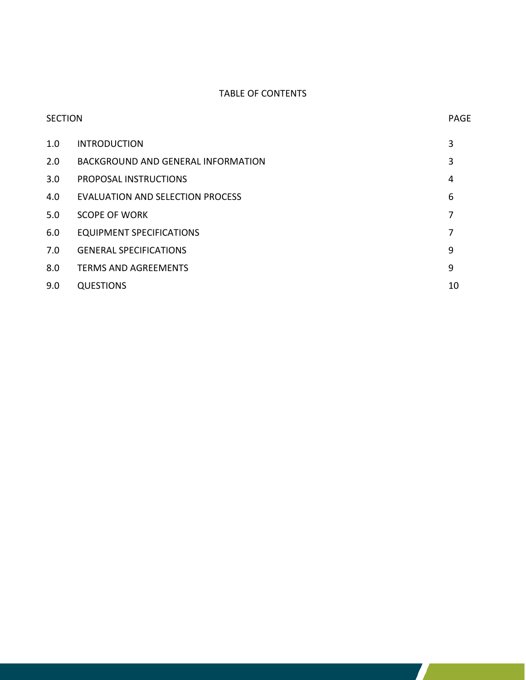## TABLE OF CONTENTS

|     | <b>SECTION</b>                     |    |
|-----|------------------------------------|----|
| 1.0 | <b>INTRODUCTION</b>                | 3  |
| 2.0 | BACKGROUND AND GENERAL INFORMATION | 3  |
| 3.0 | PROPOSAL INSTRUCTIONS              | 4  |
| 4.0 | EVALUATION AND SELECTION PROCESS   | 6  |
| 5.0 | <b>SCOPE OF WORK</b>               | 7  |
| 6.0 | <b>EQUIPMENT SPECIFICATIONS</b>    |    |
| 7.0 | <b>GENERAL SPECIFICATIONS</b>      | 9  |
| 8.0 | <b>TERMS AND AGREEMENTS</b>        | 9  |
| 9.0 | <b>QUESTIONS</b>                   | 10 |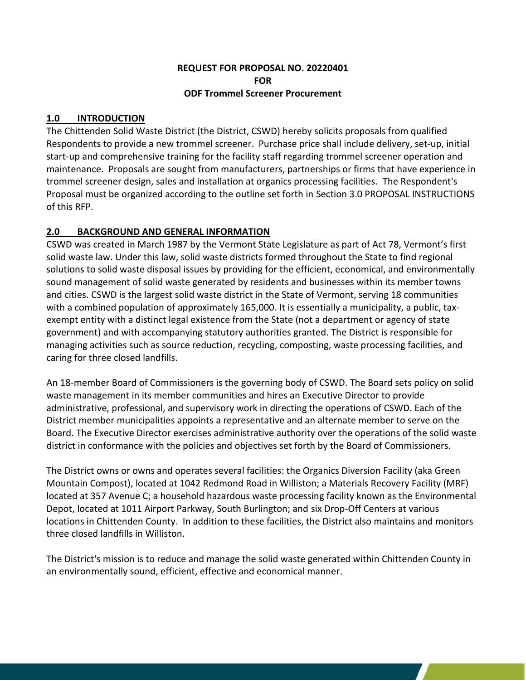### **REQUEST FOR PROPOSAL NO. 20220401 FOR ODF Trommel Screener Procurement**

## **1.0 INTRODUCTION**

The Chittenden Solid Waste District (the District, CSWD) hereby solicits proposals from qualified Respondents to provide a new trommel screener. Purchase price shall include delivery, set-up, initial start-up and comprehensive training for the facility staff regarding trommel screener operation and maintenance. Proposals are sought from manufacturers, partnerships or firms that have experience in trommel screener design, sales and installation at organics processing facilities. The Respondent's Proposal must be organized according to the outline set forth in Section 3.0 PROPOSAL INSTRUCTIONS of this RFP.

# **2.0 BACKGROUND AND GENERAL INFORMATION**

CSWD was created in March 1987 by the Vermont State Legislature as part of Act 78, Vermont's first solid waste law. Under this law, solid waste districts formed throughout the State to find regional solutions to solid waste disposal issues by providing for the efficient, economical, and environmentally sound management of solid waste generated by residents and businesses within its member towns and cities. CSWD is the largest solid waste district in the State of Vermont, serving 18 communities with a combined population of approximately 165,000. It is essentially a municipality, a public, taxexempt entity with a distinct legal existence from the State (not a department or agency of state government) and with accompanying statutory authorities granted. The District is responsible for managing activities such as source reduction, recycling, composting, waste processing facilities, and caring for three closed landfills.

An 18-member Board of Commissioners is the governing body of CSWD. The Board sets policy on solid waste management in its member communities and hires an Executive Director to provide administrative, professional, and supervisory work in directing the operations of CSWD. Each of the District member municipalities appoints a representative and an alternate member to serve on the Board. The Executive Director exercises administrative authority over the operations of the solid waste district in conformance with the policies and objectives set forth by the Board of Commissioners.

The District owns or owns and operates several facilities: the Organics Diversion Facility (aka Green Mountain Compost), located at 1042 Redmond Road in Williston; a Materials Recovery Facility (MRF) located at 357 Avenue C; a household hazardous waste processing facility known as the Environmental Depot, located at 1011 Airport Parkway, South Burlington; and six Drop-Off Centers at various locations in Chittenden County. In addition to these facilities, the District also maintains and monitors three closed landfills in Williston.

The District's mission is to reduce and manage the solid waste generated within Chittenden County in an environmentally sound, efficient, effective and economical manner.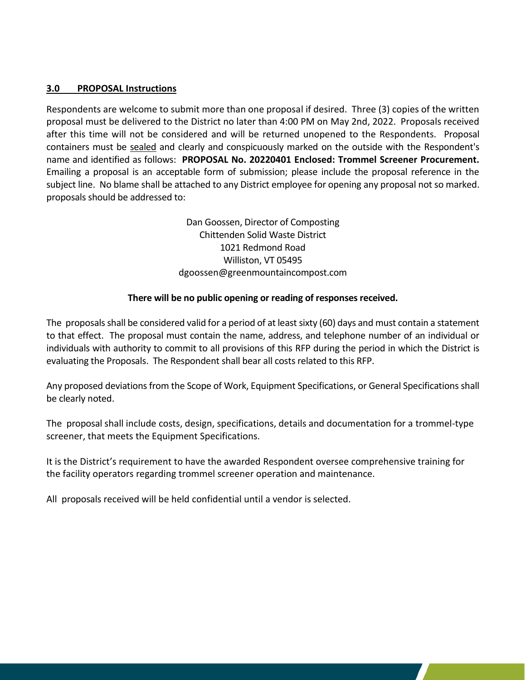### **3.0 PROPOSAL Instructions**

Respondents are welcome to submit more than one proposal if desired. Three (3) copies of the written proposal must be delivered to the District no later than 4:00 PM on May 2nd, 2022. Proposals received after this time will not be considered and will be returned unopened to the Respondents. Proposal containers must be sealed and clearly and conspicuously marked on the outside with the Respondent's name and identified as follows: **PROPOSAL No. 20220401 Enclosed: Trommel Screener Procurement.** Emailing a proposal is an acceptable form of submission; please include the proposal reference in the subject line. No blame shall be attached to any District employee for opening any proposal not so marked. proposals should be addressed to:

> Dan Goossen, Director of Composting Chittenden Solid Waste District 1021 Redmond Road Williston, VT 05495 dgoossen@greenmountaincompost.com

### **There will be no public opening or reading of responses received.**

The proposals shall be considered valid for a period of at least sixty (60) days and must contain a statement to that effect. The proposal must contain the name, address, and telephone number of an individual or individuals with authority to commit to all provisions of this RFP during the period in which the District is evaluating the Proposals. The Respondent shall bear all costs related to this RFP.

Any proposed deviations from the Scope of Work, Equipment Specifications, or General Specifications shall be clearly noted.

The proposal shall include costs, design, specifications, details and documentation for a trommel-type screener, that meets the Equipment Specifications.

It is the District's requirement to have the awarded Respondent oversee comprehensive training for the facility operators regarding trommel screener operation and maintenance.

All proposals received will be held confidential until a vendor is selected.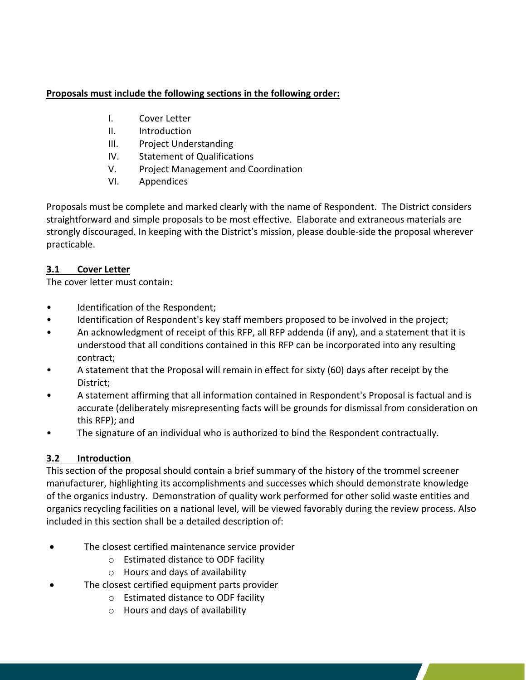## **Proposals must include the following sections in the following order:**

- I. Cover Letter
- II. Introduction
- III. Project Understanding
- IV. Statement of Qualifications
- V. Project Management and Coordination
- VI. Appendices

Proposals must be complete and marked clearly with the name of Respondent. The District considers straightforward and simple proposals to be most effective. Elaborate and extraneous materials are strongly discouraged. In keeping with the District's mission, please double-side the proposal wherever practicable.

# **3.1 Cover Letter**

The cover letter must contain:

- Identification of the Respondent;
- Identification of Respondent's key staff members proposed to be involved in the project;
- An acknowledgment of receipt of this RFP, all RFP addenda (if any), and a statement that it is understood that all conditions contained in this RFP can be incorporated into any resulting contract;
- A statement that the Proposal will remain in effect for sixty (60) days after receipt by the District;
- A statement affirming that all information contained in Respondent's Proposal is factual and is accurate (deliberately misrepresenting facts will be grounds for dismissal from consideration on this RFP); and
- The signature of an individual who is authorized to bind the Respondent contractually.

# **3.2 Introduction**

This section of the proposal should contain a brief summary of the history of the trommel screener manufacturer, highlighting its accomplishments and successes which should demonstrate knowledge of the organics industry. Demonstration of quality work performed for other solid waste entities and organics recycling facilities on a national level, will be viewed favorably during the review process. Also included in this section shall be a detailed description of:

- The closest certified maintenance service provider
	- o Estimated distance to ODF facility
	- o Hours and days of availability
- The closest certified equipment parts provider
	- o Estimated distance to ODF facility
	- o Hours and days of availability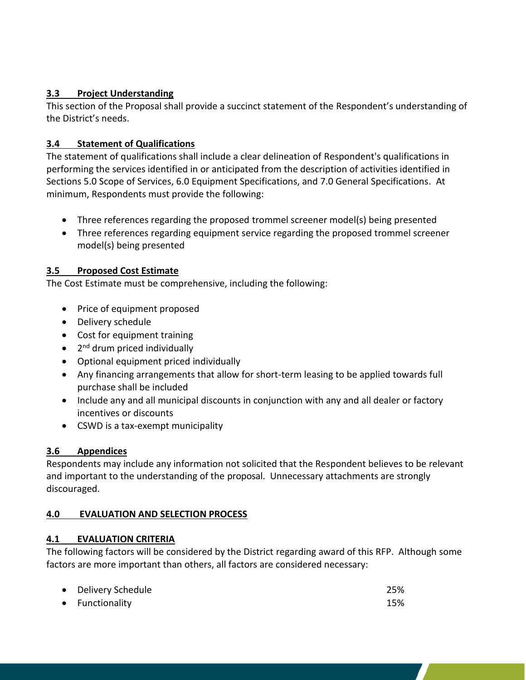# **3.3 Project Understanding**

This section of the Proposal shall provide a succinct statement of the Respondent's understanding of the District's needs.

# **3.4 Statement of Qualifications**

The statement of qualifications shall include a clear delineation of Respondent's qualifications in performing the services identified in or anticipated from the description of activities identified in Sections 5.0 Scope of Services, 6.0 Equipment Specifications, and 7.0 General Specifications. At minimum, Respondents must provide the following:

- Three references regarding the proposed trommel screener model(s) being presented
- Three references regarding equipment service regarding the proposed trommel screener model(s) being presented

## **3.5 Proposed Cost Estimate**

The Cost Estimate must be comprehensive, including the following:

- Price of equipment proposed
- Delivery schedule
- Cost for equipment training
- 2<sup>nd</sup> drum priced individually
- Optional equipment priced individually
- Any financing arrangements that allow for short-term leasing to be applied towards full purchase shall be included
- Include any and all municipal discounts in conjunction with any and all dealer or factory incentives or discounts
- CSWD is a tax-exempt municipality

# **3.6 Appendices**

Respondents may include any information not solicited that the Respondent believes to be relevant and important to the understanding of the proposal. Unnecessary attachments are strongly discouraged.

## **4.0 EVALUATION AND SELECTION PROCESS**

## **4.1 EVALUATION CRITERIA**

The following factors will be considered by the District regarding award of this RFP. Although some factors are more important than others, all factors are considered necessary:

| • Delivery Schedule | 25% |
|---------------------|-----|
| • Functionality     | 15% |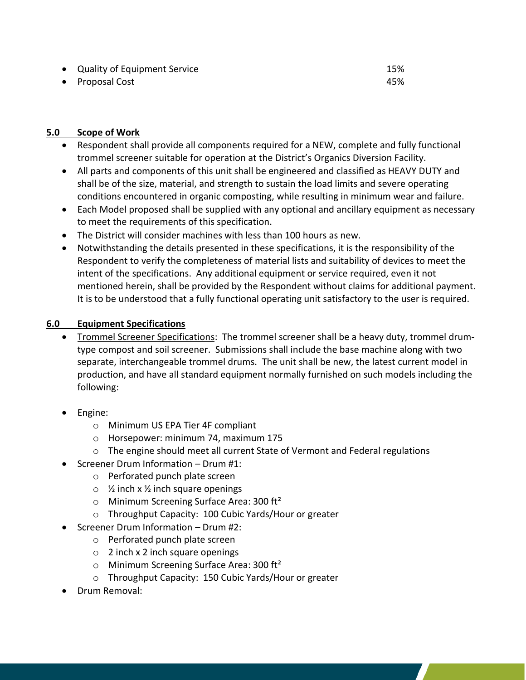- Quality of Equipment Service 15%
- Proposal Cost 45%

### **5.0 Scope of Work**

- Respondent shall provide all components required for a NEW, complete and fully functional trommel screener suitable for operation at the District's Organics Diversion Facility.
- All parts and components of this unit shall be engineered and classified as HEAVY DUTY and shall be of the size, material, and strength to sustain the load limits and severe operating conditions encountered in organic composting, while resulting in minimum wear and failure.
- Each Model proposed shall be supplied with any optional and ancillary equipment as necessary to meet the requirements of this specification.
- The District will consider machines with less than 100 hours as new.
- Notwithstanding the details presented in these specifications, it is the responsibility of the Respondent to verify the completeness of material lists and suitability of devices to meet the intent of the specifications. Any additional equipment or service required, even it not mentioned herein, shall be provided by the Respondent without claims for additional payment. It is to be understood that a fully functional operating unit satisfactory to the user is required.

### **6.0 Equipment Specifications**

- Trommel Screener Specifications: The trommel screener shall be a heavy duty, trommel drumtype compost and soil screener. Submissions shall include the base machine along with two separate, interchangeable trommel drums. The unit shall be new, the latest current model in production, and have all standard equipment normally furnished on such models including the following:
- Engine:
	- o Minimum US EPA Tier 4F compliant
	- o Horsepower: minimum 74, maximum 175
	- $\circ$  The engine should meet all current State of Vermont and Federal regulations
- Screener Drum Information Drum #1:
	- o Perforated punch plate screen
	- $\circ$  % inch x % inch square openings
	- $\circ$  Minimum Screening Surface Area: 300 ft<sup>2</sup>
	- o Throughput Capacity: 100 Cubic Yards/Hour or greater
- Screener Drum Information Drum #2:
	- o Perforated punch plate screen
	- $\circ$  2 inch x 2 inch square openings
	- $\circ$  Minimum Screening Surface Area: 300 ft<sup>2</sup>
	- o Throughput Capacity: 150 Cubic Yards/Hour or greater
- Drum Removal: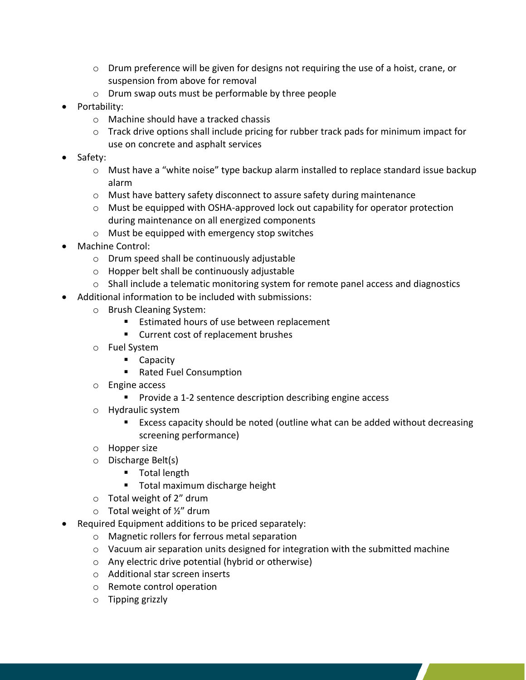- $\circ$  Drum preference will be given for designs not requiring the use of a hoist, crane, or suspension from above for removal
- o Drum swap outs must be performable by three people
- Portability:
	- o Machine should have a tracked chassis
	- o Track drive options shall include pricing for rubber track pads for minimum impact for use on concrete and asphalt services
- Safety:
	- o Must have a "white noise" type backup alarm installed to replace standard issue backup alarm
	- o Must have battery safety disconnect to assure safety during maintenance
	- o Must be equipped with OSHA-approved lock out capability for operator protection during maintenance on all energized components
	- o Must be equipped with emergency stop switches
- Machine Control:
	- o Drum speed shall be continuously adjustable
	- o Hopper belt shall be continuously adjustable
	- $\circ$  Shall include a telematic monitoring system for remote panel access and diagnostics
- Additional information to be included with submissions:
	- o Brush Cleaning System:
		- Estimated hours of use between replacement
		- Current cost of replacement brushes
	- o Fuel System
		- Capacity
		- Rated Fuel Consumption
	- o Engine access
		- Provide a 1-2 sentence description describing engine access
	- o Hydraulic system
		- Excess capacity should be noted (outline what can be added without decreasing screening performance)
	- o Hopper size
	- o Discharge Belt(s)
		- Total length
		- Total maximum discharge height
	- o Total weight of 2" drum
	- $\circ$  Total weight of  $\frac{1}{2}$ " drum
- Required Equipment additions to be priced separately:
	- o Magnetic rollers for ferrous metal separation
	- $\circ$  Vacuum air separation units designed for integration with the submitted machine
	- o Any electric drive potential (hybrid or otherwise)
	- o Additional star screen inserts
	- o Remote control operation
	- o Tipping grizzly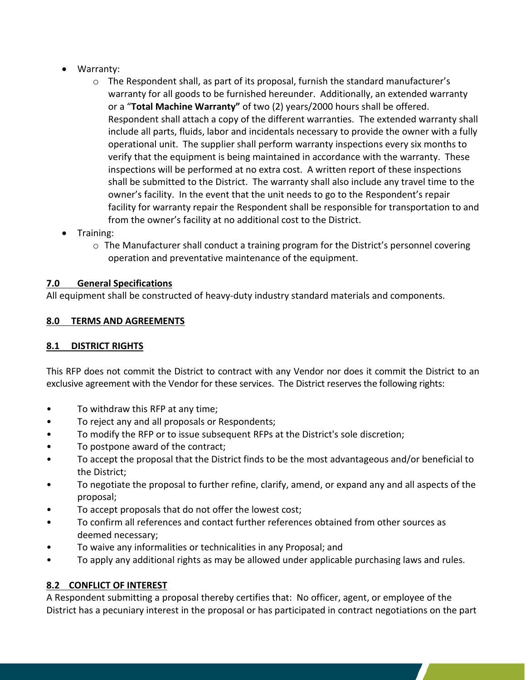- Warranty:
	- $\circ$  The Respondent shall, as part of its proposal, furnish the standard manufacturer's warranty for all goods to be furnished hereunder. Additionally, an extended warranty or a "**Total Machine Warranty"** of two (2) years/2000 hours shall be offered. Respondent shall attach a copy of the different warranties. The extended warranty shall include all parts, fluids, labor and incidentals necessary to provide the owner with a fully operational unit. The supplier shall perform warranty inspections every six months to verify that the equipment is being maintained in accordance with the warranty. These inspections will be performed at no extra cost. A written report of these inspections shall be submitted to the District. The warranty shall also include any travel time to the owner's facility. In the event that the unit needs to go to the Respondent's repair facility for warranty repair the Respondent shall be responsible for transportation to and from the owner's facility at no additional cost to the District.
- Training:
	- o The Manufacturer shall conduct a training program for the District's personnel covering operation and preventative maintenance of the equipment.

# **7.0 General Specifications**

All equipment shall be constructed of heavy-duty industry standard materials and components.

# **8.0 TERMS AND AGREEMENTS**

## **8.1 DISTRICT RIGHTS**

This RFP does not commit the District to contract with any Vendor nor does it commit the District to an exclusive agreement with the Vendor for these services. The District reserves the following rights:

- To withdraw this RFP at any time;
- To reject any and all proposals or Respondents;
- To modify the RFP or to issue subsequent RFPs at the District's sole discretion;
- To postpone award of the contract;
- To accept the proposal that the District finds to be the most advantageous and/or beneficial to the District;
- To negotiate the proposal to further refine, clarify, amend, or expand any and all aspects of the proposal;
- To accept proposals that do not offer the lowest cost;
- To confirm all references and contact further references obtained from other sources as deemed necessary;
- To waive any informalities or technicalities in any Proposal; and
- To apply any additional rights as may be allowed under applicable purchasing laws and rules.

## **8.2 CONFLICT OF INTEREST**

A Respondent submitting a proposal thereby certifies that: No officer, agent, or employee of the District has a pecuniary interest in the proposal or has participated in contract negotiations on the part